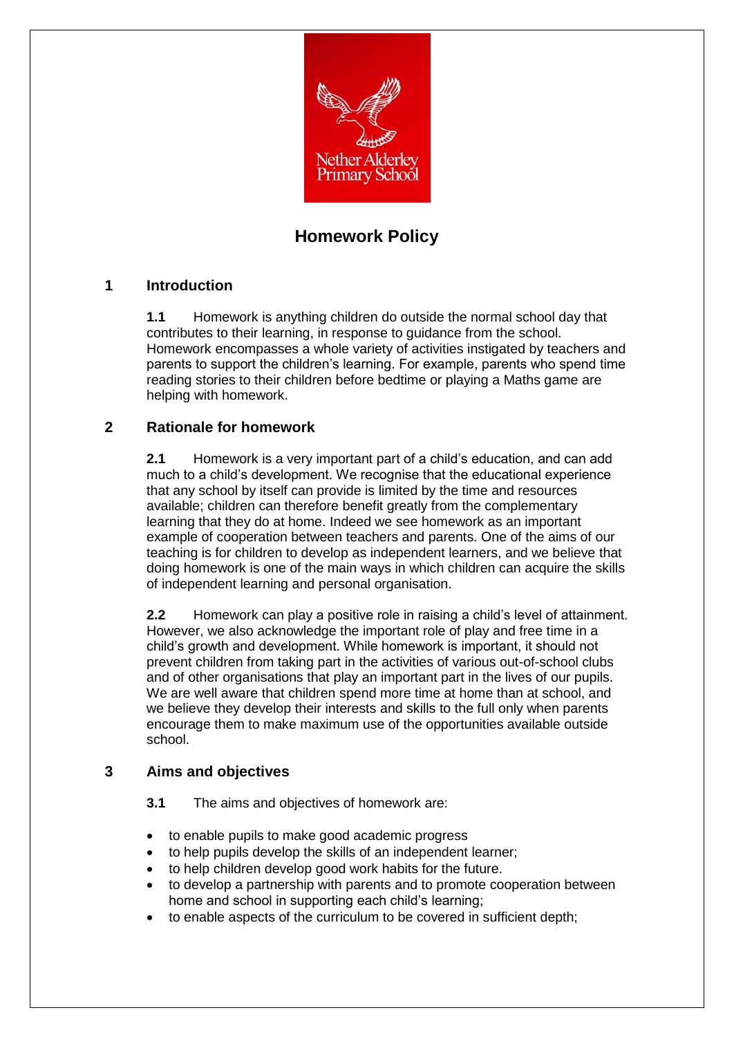

# **Homework Policy**

# **1 Introduction**

**1.1** Homework is anything children do outside the normal school day that contributes to their learning, in response to guidance from the school. Homework encompasses a whole variety of activities instigated by teachers and parents to support the children's learning. For example, parents who spend time reading stories to their children before bedtime or playing a Maths game are helping with homework.

# **2 Rationale for homework**

**2.1** Homework is a very important part of a child's education, and can add much to a child's development. We recognise that the educational experience that any school by itself can provide is limited by the time and resources available; children can therefore benefit greatly from the complementary learning that they do at home. Indeed we see homework as an important example of cooperation between teachers and parents. One of the aims of our teaching is for children to develop as independent learners, and we believe that doing homework is one of the main ways in which children can acquire the skills of independent learning and personal organisation.

**2.2** Homework can play a positive role in raising a child's level of attainment. However, we also acknowledge the important role of play and free time in a child's growth and development. While homework is important, it should not prevent children from taking part in the activities of various out-of-school clubs and of other organisations that play an important part in the lives of our pupils. We are well aware that children spend more time at home than at school, and we believe they develop their interests and skills to the full only when parents encourage them to make maximum use of the opportunities available outside school.

## **3 Aims and objectives**

**3.1** The aims and objectives of homework are:

- to enable pupils to make good academic progress
- to help pupils develop the skills of an independent learner;
- to help children develop good work habits for the future.
- to develop a partnership with parents and to promote cooperation between home and school in supporting each child's learning;
- to enable aspects of the curriculum to be covered in sufficient depth;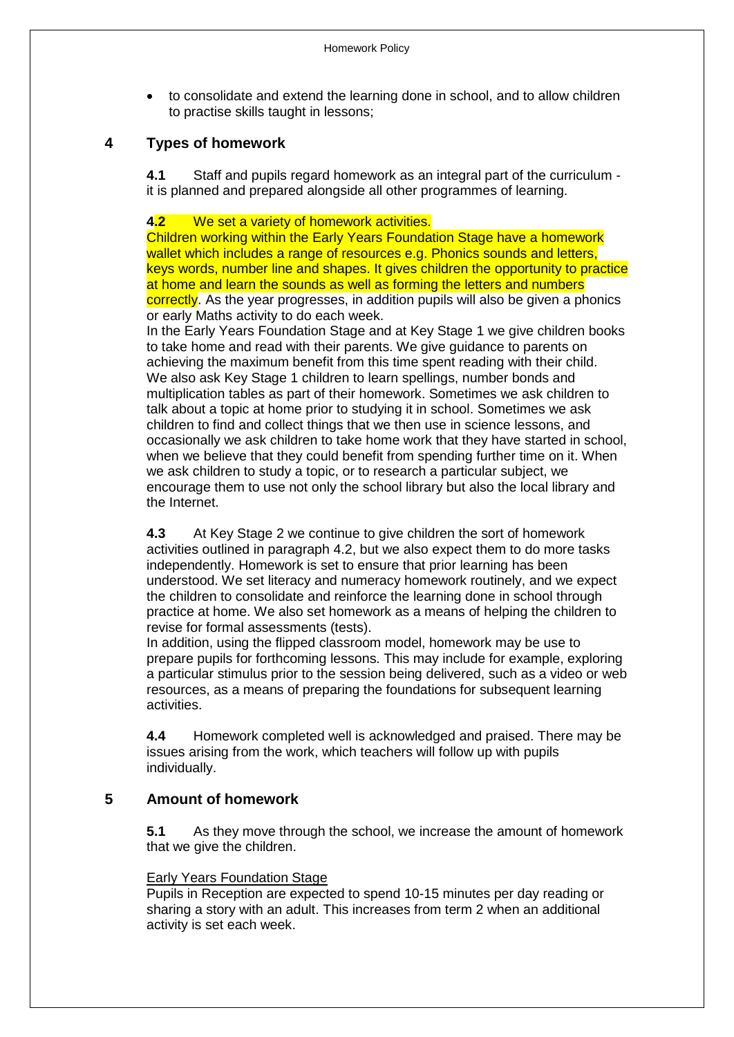to consolidate and extend the learning done in school, and to allow children to practise skills taught in lessons;

# **4 Types of homework**

**4.1** Staff and pupils regard homework as an integral part of the curriculum it is planned and prepared alongside all other programmes of learning.

#### **4.2** We set a variety of homework activities.

Children working within the Early Years Foundation Stage have a homework wallet which includes a range of resources e.g. Phonics sounds and letters, keys words, number line and shapes. It gives children the opportunity to practice at home and learn the sounds as well as forming the letters and numbers correctly. As the year progresses, in addition pupils will also be given a phonics or early Maths activity to do each week.

In the Early Years Foundation Stage and at Key Stage 1 we give children books to take home and read with their parents. We give guidance to parents on achieving the maximum benefit from this time spent reading with their child. We also ask Key Stage 1 children to learn spellings, number bonds and multiplication tables as part of their homework. Sometimes we ask children to talk about a topic at home prior to studying it in school. Sometimes we ask children to find and collect things that we then use in science lessons, and occasionally we ask children to take home work that they have started in school, when we believe that they could benefit from spending further time on it. When we ask children to study a topic, or to research a particular subject, we encourage them to use not only the school library but also the local library and the Internet.

**4.3** At Key Stage 2 we continue to give children the sort of homework activities outlined in paragraph 4.2, but we also expect them to do more tasks independently. Homework is set to ensure that prior learning has been understood. We set literacy and numeracy homework routinely, and we expect the children to consolidate and reinforce the learning done in school through practice at home. We also set homework as a means of helping the children to revise for formal assessments (tests).

In addition, using the flipped classroom model, homework may be use to prepare pupils for forthcoming lessons. This may include for example, exploring a particular stimulus prior to the session being delivered, such as a video or web resources, as a means of preparing the foundations for subsequent learning activities.

**4.4** Homework completed well is acknowledged and praised. There may be issues arising from the work, which teachers will follow up with pupils individually.

## **5 Amount of homework**

**5.1** As they move through the school, we increase the amount of homework that we give the children.

#### Early Years Foundation Stage

Pupils in Reception are expected to spend 10-15 minutes per day reading or sharing a story with an adult. This increases from term 2 when an additional activity is set each week.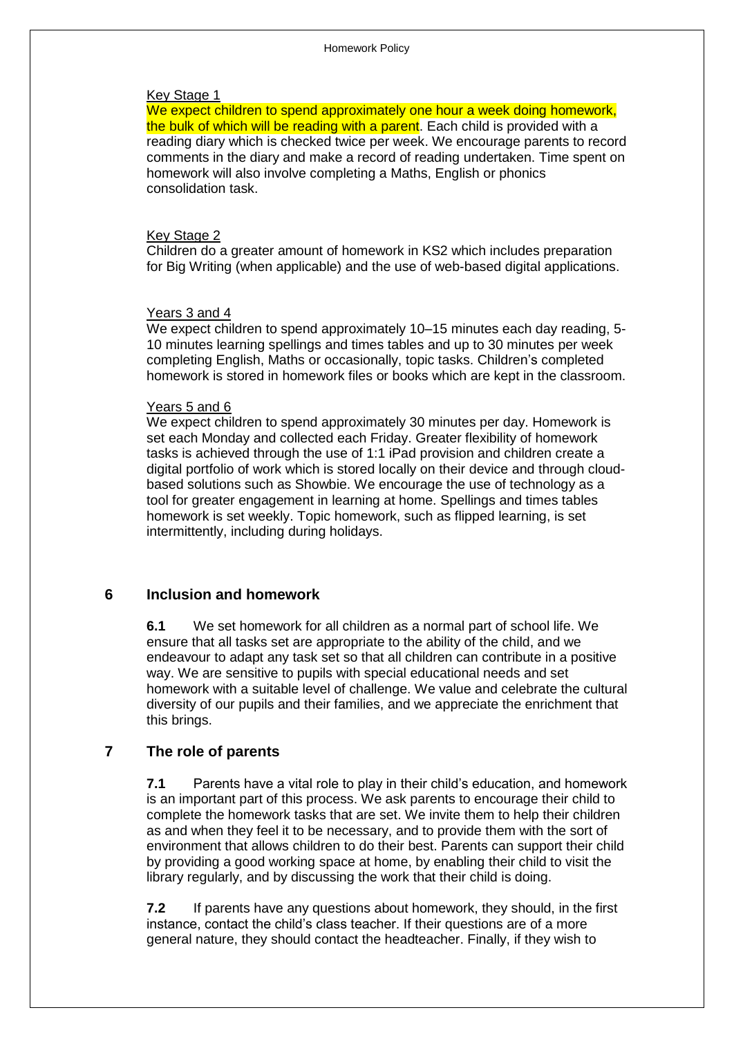#### Key Stage 1

We expect children to spend approximately one hour a week doing homework, the bulk of which will be reading with a parent. Each child is provided with a reading diary which is checked twice per week. We encourage parents to record comments in the diary and make a record of reading undertaken. Time spent on homework will also involve completing a Maths, English or phonics consolidation task.

#### Key Stage 2

Children do a greater amount of homework in KS2 which includes preparation for Big Writing (when applicable) and the use of web-based digital applications.

#### Years 3 and 4

We expect children to spend approximately 10–15 minutes each day reading, 5-10 minutes learning spellings and times tables and up to 30 minutes per week completing English, Maths or occasionally, topic tasks. Children's completed homework is stored in homework files or books which are kept in the classroom.

#### Years 5 and 6

We expect children to spend approximately 30 minutes per day. Homework is set each Monday and collected each Friday. Greater flexibility of homework tasks is achieved through the use of 1:1 iPad provision and children create a digital portfolio of work which is stored locally on their device and through cloudbased solutions such as Showbie. We encourage the use of technology as a tool for greater engagement in learning at home. Spellings and times tables homework is set weekly. Topic homework, such as flipped learning, is set intermittently, including during holidays.

#### **6 Inclusion and homework**

**6.1** We set homework for all children as a normal part of school life. We ensure that all tasks set are appropriate to the ability of the child, and we endeavour to adapt any task set so that all children can contribute in a positive way. We are sensitive to pupils with special educational needs and set homework with a suitable level of challenge. We value and celebrate the cultural diversity of our pupils and their families, and we appreciate the enrichment that this brings.

#### **7 The role of parents**

**7.1** Parents have a vital role to play in their child's education, and homework is an important part of this process. We ask parents to encourage their child to complete the homework tasks that are set. We invite them to help their children as and when they feel it to be necessary, and to provide them with the sort of environment that allows children to do their best. Parents can support their child by providing a good working space at home, by enabling their child to visit the library regularly, and by discussing the work that their child is doing.

**7.2** If parents have any questions about homework, they should, in the first instance, contact the child's class teacher. If their questions are of a more general nature, they should contact the headteacher. Finally, if they wish to